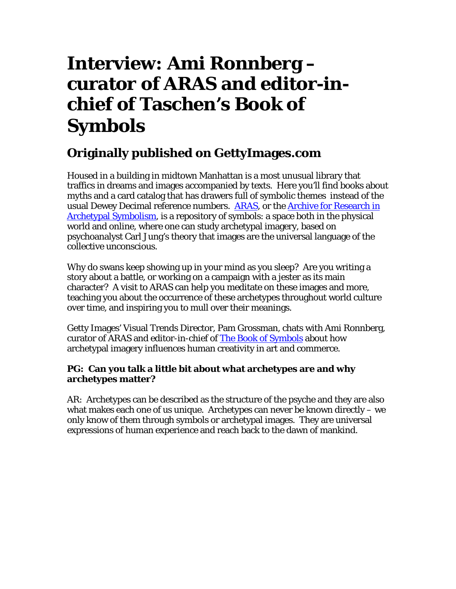# **Interview: Ami Ronnberg – curator of ARAS and editor-inchief of Taschen's Book of Symbols**

# **Originally published on GettyImages.com**

Housed in a building in midtown Manhattan is a most unusual library that traffics in dreams and images accompanied by texts. Here you'll find books about myths and a card catalog that has drawers full of symbolic themes instead of the usual Dewey Decimal reference numbers. ARAS, or the **Archive for Research in** Archetypal Symbolism, is a repository of symbols: a space both in the physical world and online, where one can study archetypal imagery, based on psychoanalyst Carl Jung's theory that images are the universal language of the collective unconscious.

Why do swans keep showing up in your mind as you sleep? Are you writing a story about a battle, or working on a campaign with a jester as its main character? A visit to ARAS can help you meditate on these images and more, teaching you about the occurrence of these archetypes throughout world culture over time, and inspiring you to mull over their meanings.

Getty Images' Visual Trends Director, Pam Grossman, chats with Ami Ronnberg, curator of ARAS and editor-in-chief of **The Book of Symbols** about how archetypal imagery influences human creativity in art and commerce.

## **PG: Can you talk a little bit about what archetypes are and why archetypes matter?**

AR: Archetypes can be described as the structure of the psyche and they are also what makes each one of us unique. Archetypes can never be known directly – we only know of them through symbols or archetypal images. They are universal expressions of human experience and reach back to the dawn of mankind.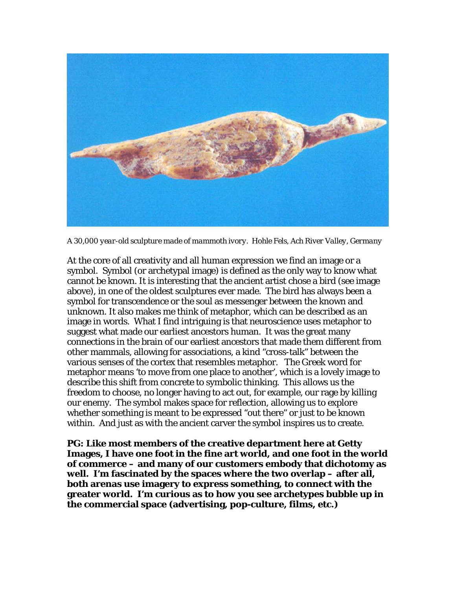

*A 30,000 year-old sculpture made of mammoth ivory. Hohle Fels, Ach River Valley, Germany* 

At the core of all creativity and all human expression we find an image or a symbol. Symbol (or archetypal image) is defined as the only way to know what cannot be known. It is interesting that the ancient artist chose a bird (see image above), in one of the oldest sculptures ever made. The bird has always been a symbol for transcendence or the soul as messenger between the known and unknown. It also makes me think of metaphor, which can be described as an image in words. What I find intriguing is that neuroscience uses metaphor to suggest what made our earliest ancestors human. It was the great many connections in the brain of our earliest ancestors that made them different from other mammals, allowing for associations, a kind "cross-talk" between the various senses of the cortex that resembles metaphor. The Greek word for metaphor means 'to move from one place to another', which is a lovely image to describe this shift from concrete to symbolic thinking. This allows us the freedom to choose, no longer having to act out, for example, our rage by killing our enemy. The symbol makes space for reflection, allowing us to explore whether something is meant to be expressed "out there" or just to be known within. And just as with the ancient carver the symbol inspires us to create.

**PG: Like most members of the creative department here at Getty Images, I have one foot in the fine art world, and one foot in the world of commerce – and many of our customers embody that dichotomy as well. I'm fascinated by the spaces where the two overlap – after all, both arenas use imagery to express something, to connect with the greater world. I'm curious as to how you see archetypes bubble up in the commercial space (advertising, pop-culture, films, etc.)**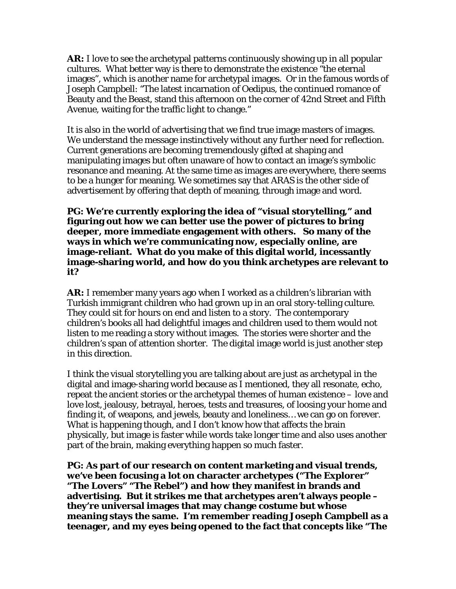**AR:** I love to see the archetypal patterns continuously showing up in all popular cultures. What better way is there to demonstrate the existence "the eternal images", which is another name for archetypal images. Or in the famous words of Joseph Campbell: "The latest incarnation of Oedipus, the continued romance of Beauty and the Beast, stand this afternoon on the corner of 42nd Street and Fifth Avenue, waiting for the traffic light to change."

It is also in the world of advertising that we find true image masters of images. We understand the message instinctively without any further need for reflection. Current generations are becoming tremendously gifted at shaping and manipulating images but often unaware of how to contact an image's symbolic resonance and meaning. At the same time as images are everywhere, there seems to be a hunger for meaning. We sometimes say that ARAS is the other side of advertisement by offering that depth of meaning, through image and word.

#### **PG: We're currently exploring the idea of "visual storytelling," and figuring out how we can better use the power of pictures to bring deeper, more immediate engagement with others. So many of the ways in which we're communicating now, especially online, are image-reliant. What do you make of this digital world, incessantly image-sharing world, and how do you think archetypes are relevant to it?**

**AR:** I remember many years ago when I worked as a children's librarian with Turkish immigrant children who had grown up in an oral story-telling culture. They could sit for hours on end and listen to a story. The contemporary children's books all had delightful images and children used to them would not listen to me reading a story without images. The stories were shorter and the children's span of attention shorter. The digital image world is just another step in this direction.

I think the visual storytelling you are talking about are just as archetypal in the digital and image-sharing world because as I mentioned, they all resonate, echo, repeat the ancient stories or the archetypal themes of human existence – love and love lost, jealousy, betrayal, heroes, tests and treasures, of loosing your home and finding it, of weapons, and jewels, beauty and loneliness… we can go on forever. What is happening though, and I don't know how that affects the brain physically, but image is faster while words take longer time and also uses another part of the brain, making everything happen so much faster.

**PG: As part of our research on content marketing and visual trends, we've been focusing a lot on character archetypes ("The Explorer" "The Lovers" "The Rebel") and how they manifest in brands and advertising. But it strikes me that archetypes aren't always people – they're universal images that may change costume but whose meaning stays the same. I'm remember reading Joseph Campbell as a teenager, and my eyes being opened to the fact that concepts like "The**